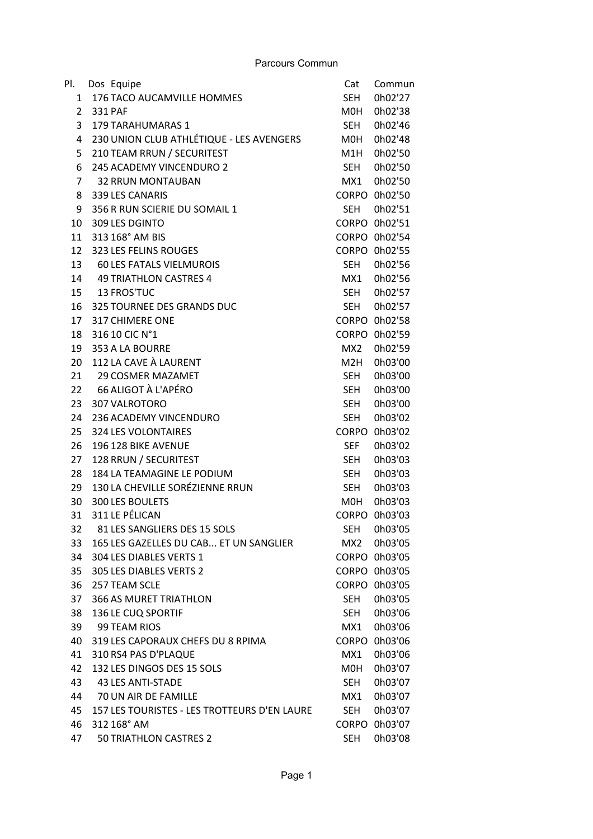| Pl.          | Dos Equipe                                   | Cat        | Commun        |
|--------------|----------------------------------------------|------------|---------------|
| $\mathbf{1}$ | 176 TACO AUCAMVILLE HOMMES                   | <b>SEH</b> | 0h02'27       |
| 2            | <b>331 PAF</b>                               | M0H        | 0h02'38       |
| 3            | <b>179 TARAHUMARAS 1</b>                     | SEH        | 0h02'46       |
| 4            | 230 UNION CLUB ATHLÉTIQUE - LES AVENGERS     | M0H        | 0h02'48       |
| 5            | 210 TEAM RRUN / SECURITEST                   | M1H        | 0h02'50       |
| 6            | 245 ACADEMY VINCENDURO 2                     | <b>SEH</b> | 0h02'50       |
| 7            | <b>32 RRUN MONTAUBAN</b>                     | MX1        | 0h02'50       |
| 8            | 339 LES CANARIS                              |            | CORPO 0h02'50 |
| 9            | 356 R RUN SCIERIE DU SOMAIL 1                | <b>SEH</b> | 0h02'51       |
| 10           | 309 LES DGINTO                               |            | CORPO 0h02'51 |
| 11           | 313 168° AM BIS                              |            | CORPO 0h02'54 |
| 12           | 323 LES FELINS ROUGES                        |            | CORPO 0h02'55 |
| 13           | <b>60 LES FATALS VIELMUROIS</b>              | SEH        | 0h02'56       |
| 14           | <b>49 TRIATHLON CASTRES 4</b>                | MX1        | 0h02'56       |
|              | 15 13 FROS'TUC                               | SEH        | 0h02'57       |
| 16           | 325 TOURNEE DES GRANDS DUC                   | <b>SEH</b> | 0h02'57       |
| 17           | <b>317 CHIMERE ONE</b>                       |            | CORPO 0h02'58 |
| 18           | 316 10 CIC N°1                               |            | CORPO 0h02'59 |
| 19           | 353 A LA BOURRE                              | MX2        | 0h02'59       |
| 20           | 112 LA CAVE À LAURENT                        | M2H        | 0h03'00       |
|              | 21 29 COSMER MAZAMET                         | <b>SEH</b> | 0h03'00       |
| 22           | 66 ALIGOT À L'APÉRO                          | <b>SEH</b> | 0h03'00       |
| 23           | 307 VALROTORO                                | <b>SEH</b> | 0h03'00       |
| 24           | 236 ACADEMY VINCENDURO                       | <b>SEH</b> | 0h03'02       |
| 25           | 324 LES VOLONTAIRES                          |            | CORPO 0h03'02 |
| 26           | 196 128 BIKE AVENUE                          | <b>SEF</b> | 0h03'02       |
| 27           | 128 RRUN / SECURITEST                        | <b>SEH</b> | 0h03'03       |
| 28           | 184 LA TEAMAGINE LE PODIUM                   | <b>SEH</b> | 0h03'03       |
| 29           | 130 LA CHEVILLE SORÉZIENNE RRUN              | <b>SEH</b> | 0h03'03       |
| 30           | 300 LES BOULETS                              | M0H        | 0h03'03       |
| 31           | 311 LE PÉLICAN                               |            | CORPO 0h03'03 |
| 32           | 81 LES SANGLIERS DES 15 SOLS                 | SEH        | 0h03'05       |
| 33           | 165 LES GAZELLES DU CAB ET UN SANGLIER       | MX2        | 0h03'05       |
| 34           | 304 LES DIABLES VERTS 1                      |            | CORPO 0h03'05 |
| 35           | 305 LES DIABLES VERTS 2                      |            | CORPO 0h03'05 |
| 36           | 257 TEAM SCLE                                |            | CORPO 0h03'05 |
| 37           | <b>366 AS MURET TRIATHLON</b>                | <b>SEH</b> | 0h03'05       |
| 38           | 136 LE CUQ SPORTIF                           | SEH        | 0h03'06       |
| 39           | 99 TEAM RIOS                                 | MX1        | 0h03'06       |
| 40           | 319 LES CAPORAUX CHEFS DU 8 RPIMA            |            | CORPO 0h03'06 |
| 41           | 310 RS4 PAS D'PLAQUE                         | MX1        | 0h03'06       |
| 42           | 132 LES DINGOS DES 15 SOLS                   | M0H        | 0h03'07       |
| 43           | 43 LES ANTI-STADE                            | SEH        | 0h03'07       |
| 44           | 70 UN AIR DE FAMILLE                         | MX1        | 0h03'07       |
| 45           | 157 LES TOURISTES - LES TROTTEURS D'EN LAURE | <b>SEH</b> | 0h03'07       |
| 46           | 312 168° AM                                  |            | CORPO 0h03'07 |
| 47           | 50 TRIATHLON CASTRES 2                       | <b>SEH</b> | 0h03'08       |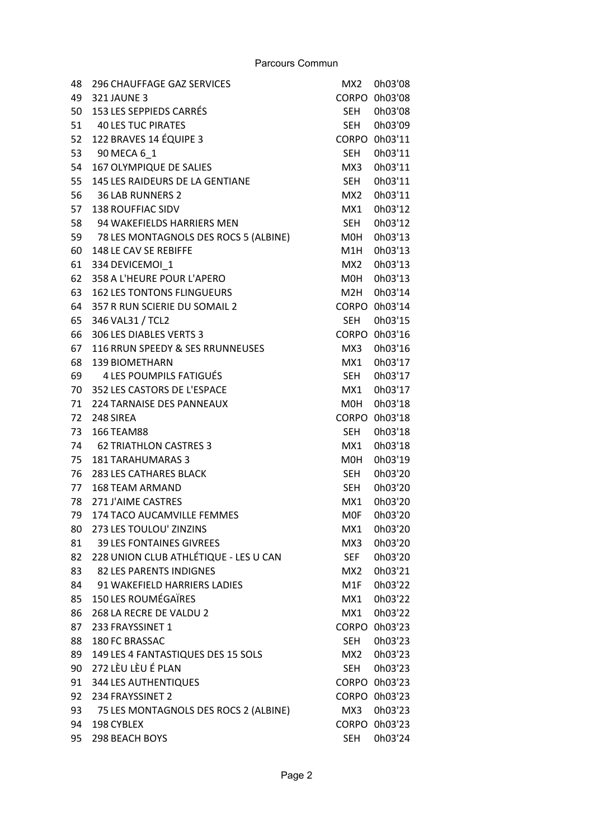| 48 | 296 CHAUFFAGE GAZ SERVICES               | MX2        | 0h03'08       |
|----|------------------------------------------|------------|---------------|
| 49 | <b>321 JAUNE 3</b>                       |            | CORPO 0h03'08 |
| 50 | 153 LES SEPPIEDS CARRÉS                  | SEH        | 0h03'08       |
| 51 | <b>40 LES TUC PIRATES</b>                | SEH        | 0h03'09       |
| 52 | 122 BRAVES 14 ÉQUIPE 3                   |            | CORPO 0h03'11 |
| 53 | 90 MECA 6 1                              | <b>SEH</b> | 0h03'11       |
| 54 | 167 OLYMPIQUE DE SALIES                  | MX3        | 0h03'11       |
| 55 | 145 LES RAIDEURS DE LA GENTIANE          | <b>SEH</b> | 0h03'11       |
| 56 | <b>36 LAB RUNNERS 2</b>                  | MX2        | 0h03'11       |
| 57 | <b>138 ROUFFIAC SIDV</b>                 | MX1        | 0h03'12       |
| 58 | 94 WAKEFIELDS HARRIERS MEN               | SEH        | 0h03'12       |
|    | 59 78 LES MONTAGNOLS DES ROCS 5 (ALBINE) | M0H        | 0h03'13       |
| 60 | 148 LE CAV SE REBIFFE                    | M1H        | 0h03'13       |
| 61 | 334 DEVICEMOI 1                          | MX2        | 0h03'13       |
| 62 | 358 A L'HEURE POUR L'APERO               | M0H        | 0h03'13       |
| 63 | <b>162 LES TONTONS FLINGUEURS</b>        | M2H        | 0h03'14       |
| 64 | 357 R RUN SCIERIE DU SOMAIL 2            |            | CORPO 0h03'14 |
| 65 | 346 VAL31 / TCL2                         | <b>SEH</b> | 0h03'15       |
| 66 | 306 LES DIABLES VERTS 3                  |            | CORPO 0h03'16 |
| 67 | 116 RRUN SPEEDY & SES RRUNNEUSES         | MX3        | 0h03'16       |
| 68 | <b>139 BIOMETHARN</b>                    | MX1        | 0h03'17       |
| 69 | 4 LES POUMPILS FATIGUÉS                  | <b>SEH</b> | 0h03'17       |
| 70 | 352 LES CASTORS DE L'ESPACE              | MX1        | 0h03'17       |
| 71 | 224 TARNAISE DES PANNEAUX                | M0H        | 0h03'18       |
| 72 | 248 SIREA                                |            | CORPO 0h03'18 |
| 73 | 166 TEAM88                               | SEH        | 0h03'18       |
| 74 | 62 TRIATHLON CASTRES 3                   | MX1        | 0h03'18       |
| 75 | <b>181 TARAHUMARAS 3</b>                 | MOH        | 0h03'19       |
| 76 | <b>283 LES CATHARES BLACK</b>            | SEH        | 0h03'20       |
| 77 | <b>168 TEAM ARMAND</b>                   | <b>SEH</b> | 0h03'20       |
| 78 | 271 J'AIME CASTRES                       | MX1        | 0h03'20       |
| 79 | 174 TACO AUCAMVILLE FEMMES               | <b>MOF</b> | 0h03'20       |
| 80 | 273 LES TOULOU' ZINZINS                  | MX1        | 0h03'20       |
| 81 | <b>39 LES FONTAINES GIVREES</b>          | MX3        | 0h03'20       |
| 82 | 228 UNION CLUB ATHLÉTIQUE - LES U CAN    | <b>SEF</b> | 0h03'20       |
| 83 | 82 LES PARENTS INDIGNES                  | MX2        | 0h03'21       |
| 84 | 91 WAKEFIELD HARRIERS LADIES             | M1F        | 0h03'22       |
| 85 | <b>150 LES ROUMÉGAÏRES</b>               | MX1        | 0h03'22       |
| 86 | 268 LA RECRE DE VALDU 2                  | MX1        | 0h03'22       |
| 87 | 233 FRAYSSINET 1                         |            | CORPO 0h03'23 |
| 88 | <b>180 FC BRASSAC</b>                    | <b>SEH</b> | 0h03'23       |
| 89 | 149 LES 4 FANTASTIQUES DES 15 SOLS       | MX2        | 0h03'23       |
| 90 | 272 LÈU LÈU É PLAN                       | <b>SEH</b> | 0h03'23       |
| 91 | <b>344 LES AUTHENTIQUES</b>              |            | CORPO 0h03'23 |
| 92 | 234 FRAYSSINET 2                         |            | CORPO 0h03'23 |
| 93 | 75 LES MONTAGNOLS DES ROCS 2 (ALBINE)    | MX3        | 0h03'23       |
| 94 | 198 CYBLEX                               |            | CORPO 0h03'23 |
| 95 | 298 BEACH BOYS                           | <b>SEH</b> | 0h03'24       |
|    |                                          |            |               |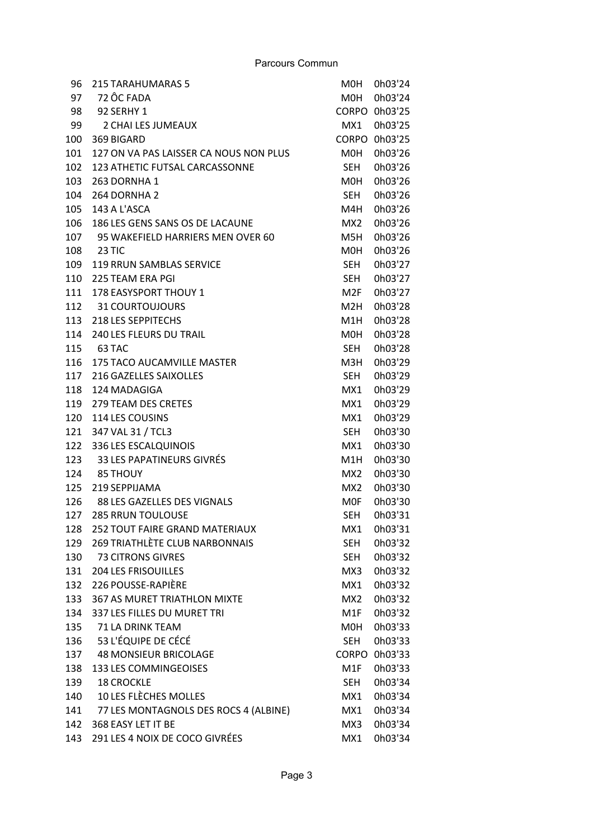| 96  | <b>215 TARAHUMARAS 5</b>               | M0H          | 0h03'24 |
|-----|----------------------------------------|--------------|---------|
|     | 97 72 ÔC FADA                          | MOH          | 0h03'24 |
| 98  | 92 SERHY 1                             | <b>CORPO</b> | 0h03'25 |
| 99  | 2 CHAI LES JUMEAUX                     | MX1          | 0h03'25 |
| 100 | 369 BIGARD                             | <b>CORPO</b> | 0h03'25 |
| 101 | 127 ON VA PAS LAISSER CA NOUS NON PLUS | M0H          | 0h03'26 |
| 102 | 123 ATHETIC FUTSAL CARCASSONNE         | SEH          | 0h03'26 |
| 103 | 263 DORNHA 1                           | M0H          | 0h03'26 |
| 104 | 264 DORNHA 2                           | <b>SEH</b>   | 0h03'26 |
| 105 | 143 A L'ASCA                           | M4H          | 0h03'26 |
| 106 | 186 LES GENS SANS OS DE LACAUNE        | MX2          | 0h03'26 |
| 107 | 95 WAKEFIELD HARRIERS MEN OVER 60      | M5H          | 0h03'26 |
|     | 108 23 TIC                             | M0H          | 0h03'26 |
| 109 | <b>119 RRUN SAMBLAS SERVICE</b>        | SEH          | 0h03'27 |
| 110 | 225 TEAM ERA PGI                       | SEH          | 0h03'27 |
| 111 | <b>178 EASYSPORT THOUY 1</b>           | M2F          | 0h03'27 |
|     | 112 31 COURTOUJOURS                    | M2H          | 0h03'28 |
| 113 | 218 LES SEPPITECHS                     | M1H          | 0h03'28 |
| 114 | 240 LES FLEURS DU TRAIL                | M0H          | 0h03'28 |
|     | 115 63 TAC                             | SEH          | 0h03'28 |
| 116 | <b>175 TACO AUCAMVILLE MASTER</b>      | M3H          | 0h03'29 |
| 117 | 216 GAZELLES SAIXOLLES                 | SEH          | 0h03'29 |
| 118 | 124 MADAGIGA                           | MX1          | 0h03'29 |
| 119 | <b>279 TEAM DES CRETES</b>             | MX1          | 0h03'29 |
| 120 | 114 LES COUSINS                        | MX1          | 0h03'29 |
| 121 | 347 VAL 31 / TCL3                      | SEH          | 0h03'30 |
| 122 | 336 LES ESCALQUINOIS                   | MX1          | 0h03'30 |
| 123 | 33 LES PAPATINEURS GIVRÉS              | M1H          | 0h03'30 |
|     | 124 85 THOUY                           | MX2          | 0h03'30 |
| 125 | 219 SEPPIJAMA                          | MX2          | 0h03'30 |
| 126 | 88 LES GAZELLES DES VIGNALS            | M0F          | 0h03'30 |
| 127 | <b>285 RRUN TOULOUSE</b>               | <b>SEH</b>   | 0h03'31 |
| 128 | <b>252 TOUT FAIRE GRAND MATERIAUX</b>  | MX1          | 0h03'31 |
| 129 | <b>269 TRIATHLÈTE CLUB NARBONNAIS</b>  | <b>SEH</b>   | 0h03'32 |
| 130 | 73 CITRONS GIVRES                      | <b>SEH</b>   | 0h03'32 |
| 131 | <b>204 LES FRISOUILLES</b>             | MX3          | 0h03'32 |
| 132 | 226 POUSSE-RAPIÈRE                     | MX1          | 0h03'32 |
| 133 | <b>367 AS MURET TRIATHLON MIXTE</b>    | MX2          | 0h03'32 |
| 134 | 337 LES FILLES DU MURET TRI            | M1F          | 0h03'32 |
| 135 | 71 LA DRINK TEAM                       | M0H          | 0h03'33 |
| 136 | 53 L'ÉQUIPE DE CÉCÉ                    | <b>SEH</b>   | 0h03'33 |
| 137 | <b>48 MONSIEUR BRICOLAGE</b>           | <b>CORPO</b> | 0h03'33 |
| 138 | 133 LES COMMINGEOISES                  | M1F          | 0h03'33 |
| 139 | <b>18 CROCKLE</b>                      | <b>SEH</b>   | 0h03'34 |
| 140 | 10 LES FLÈCHES MOLLES                  | MX1          | 0h03'34 |
| 141 | 77 LES MONTAGNOLS DES ROCS 4 (ALBINE)  | MX1          | 0h03'34 |
| 142 | 368 EASY LET IT BE                     | MX3          | 0h03'34 |
| 143 | 291 LES 4 NOIX DE COCO GIVRÉES         | MX1          | 0h03'34 |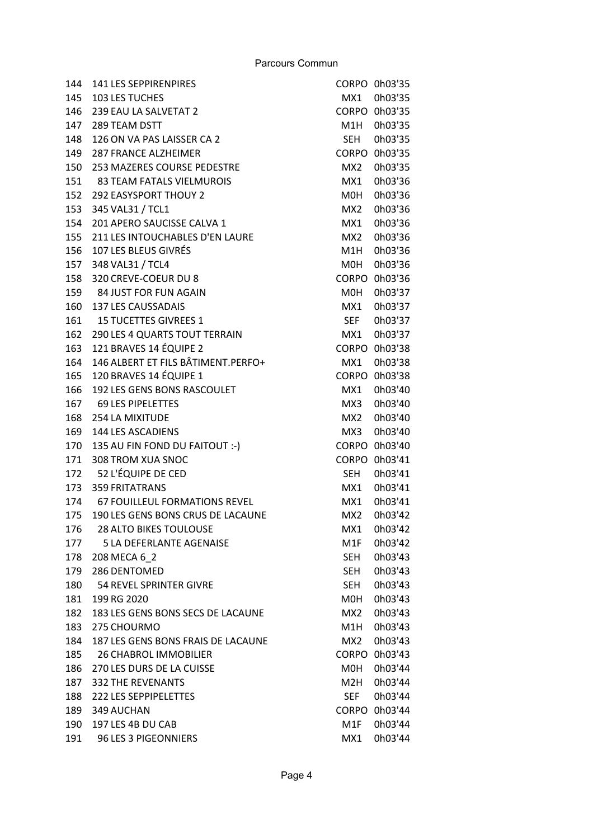| 144 | 141 LES SEPPIRENPIRES              |                 | CORPO 0h03'35 |
|-----|------------------------------------|-----------------|---------------|
| 145 | <b>103 LES TUCHES</b>              | MX1             | 0h03'35       |
| 146 | 239 EAU LA SALVETAT 2              | CORPO -         | 0h03'35       |
| 147 | 289 TEAM DSTT                      | M1H             | 0h03'35       |
| 148 | 126 ON VA PAS LAISSER CA 2         | <b>SEH</b>      | 0h03'35       |
| 149 | <b>287 FRANCE ALZHEIMER</b>        | CORPO           | 0h03'35       |
| 150 | 253 MAZERES COURSE PEDESTRE        | MX2             | 0h03'35       |
| 151 | 83 TEAM FATALS VIELMUROIS          | MX1             | 0h03'36       |
| 152 | <b>292 EASYSPORT THOUY 2</b>       | M0H             | 0h03'36       |
| 153 | 345 VAL31 / TCL1                   | MX2             | 0h03'36       |
| 154 | 201 APERO SAUCISSE CALVA 1         | MX1             | 0h03'36       |
| 155 | 211 LES INTOUCHABLES D'EN LAURE    | MX2             | 0h03'36       |
| 156 | 107 LES BLEUS GIVRÉS               | M1H             | 0h03'36       |
| 157 | 348 VAL31 / TCL4                   | M0H             | 0h03'36       |
| 158 | 320 CREVE-COEUR DU 8               | CORPO           | 0h03'36       |
|     | 159 84 JUST FOR FUN AGAIN          | M0H             | 0h03'37       |
| 160 | 137 LES CAUSSADAIS                 | MX1             | 0h03'37       |
| 161 | <b>15 TUCETTES GIVREES 1</b>       | <b>SEF</b>      | 0h03'37       |
| 162 | 290 LES 4 QUARTS TOUT TERRAIN      | MX1             | 0h03'37       |
| 163 | 121 BRAVES 14 ÉQUIPE 2             | <b>CORPO</b>    | 0h03'38       |
| 164 | 146 ALBERT ET FILS BÂTIMENT.PERFO+ | MX1             | 0h03'38       |
| 165 | 120 BRAVES 14 ÉQUIPE 1             |                 | CORPO 0h03'38 |
| 166 | 192 LES GENS BONS RASCOULET        | MX1             | 0h03'40       |
| 167 | <b>69 LES PIPELETTES</b>           | MX3             | 0h03'40       |
| 168 | 254 LA MIXITUDE                    | MX2             | 0h03'40       |
| 169 | 144 LES ASCADIENS                  | MX3             | 0h03'40       |
| 170 | 135 AU FIN FOND DU FAITOUT :- )    | CORPO           | 0h03'40       |
| 171 | 308 TROM XUA SNOC                  | CORPO           | 0h03'41       |
|     | 172 52 L'ÉQUIPE DE CED             | <b>SEH</b>      | 0h03'41       |
| 173 | <b>359 FRITATRANS</b>              | MX1             | 0h03'41       |
| 174 | 67 FOUILLEUL FORMATIONS REVEL      | MX1             | 0h03'41       |
| 175 | 190 LES GENS BONS CRUS DE LACAUNE  | MX2             | 0h03'42       |
| 176 | <b>28 ALTO BIKES TOULOUSE</b>      | MX1             | 0h03'42       |
| 177 | <b>5 LA DEFERLANTE AGENAISE</b>    | M1F             | 0h03'42       |
| 178 | 208 MECA 6 2                       | SEH             | 0h03'43       |
| 179 | 286 DENTOMED                       | <b>SEH</b>      | 0h03'43       |
| 180 | 54 REVEL SPRINTER GIVRE            | <b>SEH</b>      | 0h03'43       |
| 181 | 199 RG 2020                        | M0H             | 0h03'43       |
| 182 | 183 LES GENS BONS SECS DE LACAUNE  | MX <sub>2</sub> | 0h03'43       |
| 183 | 275 CHOURMO                        | M1H             | 0h03'43       |
| 184 | 187 LES GENS BONS FRAIS DE LACAUNE | MX2             | 0h03'43       |
| 185 | <b>26 CHABROL IMMOBILIER</b>       | CORPO           | 0h03'43       |
| 186 | 270 LES DURS DE LA CUISSE          | M0H             | 0h03'44       |
| 187 | <b>332 THE REVENANTS</b>           | M2H             | 0h03'44       |
| 188 | <b>222 LES SEPPIPELETTES</b>       | <b>SEF</b>      | 0h03'44       |
| 189 | 349 AUCHAN                         | <b>CORPO</b>    | 0h03'44       |
|     | 197 LES 4B DU CAB                  | M1F             | 0h03'44       |
| 190 |                                    |                 |               |
| 191 | 96 LES 3 PIGEONNIERS               | MX1             | 0h03'44       |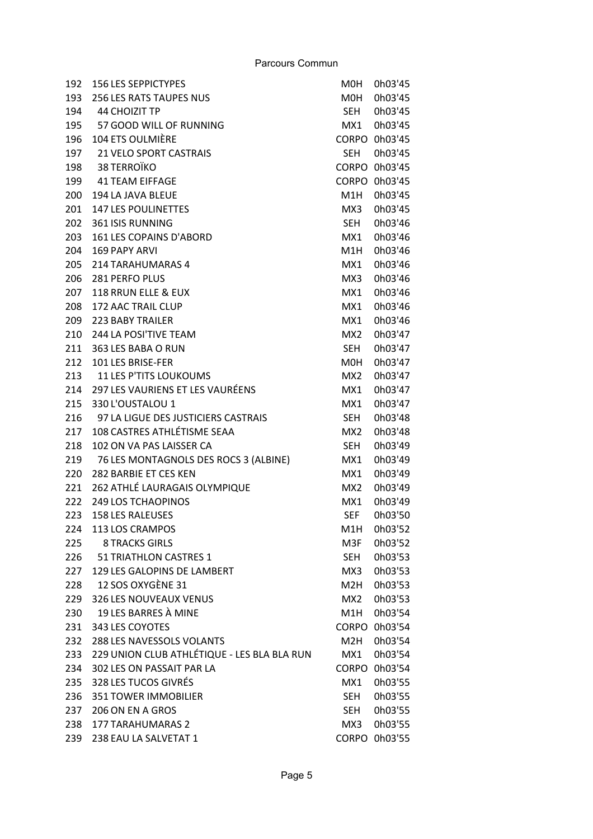| 192 | <b>156 LES SEPPICTYPES</b>                  | M0H              | 0h03'45       |
|-----|---------------------------------------------|------------------|---------------|
| 193 | <b>256 LES RATS TAUPES NUS</b>              | <b>MOH</b>       | 0h03'45       |
| 194 | <b>44 CHOIZIT TP</b>                        | SEH              | 0h03'45       |
| 195 | 57 GOOD WILL OF RUNNING                     | MX1              | 0h03'45       |
| 196 | 104 ETS OULMIÈRE                            | <b>CORPO</b>     | 0h03'45       |
| 197 | <b>21 VELO SPORT CASTRAIS</b>               | <b>SEH</b>       | 0h03'45       |
| 198 | 38 TERROÏKO                                 |                  | CORPO 0h03'45 |
| 199 | <b>41 TEAM EIFFAGE</b>                      | <b>CORPO</b>     | 0h03'45       |
| 200 | 194 LA JAVA BLEUE                           | M <sub>1</sub> H | 0h03'45       |
| 201 | <b>147 LES POULINETTES</b>                  | MX3              | 0h03'45       |
| 202 | 361 ISIS RUNNING                            | <b>SEH</b>       | 0h03'46       |
| 203 | 161 LES COPAINS D'ABORD                     | MX1              | 0h03'46       |
| 204 | <b>169 PAPY ARVI</b>                        | M1H              | 0h03'46       |
| 205 | 214 TARAHUMARAS 4                           | MX1              | 0h03'46       |
| 206 | 281 PERFO PLUS                              | MX3              | 0h03'46       |
| 207 | 118 RRUN ELLE & EUX                         | MX1              | 0h03'46       |
| 208 | 172 AAC TRAIL CLUP                          | MX1              | 0h03'46       |
| 209 | <b>223 BABY TRAILER</b>                     | MX1              | 0h03'46       |
| 210 | 244 LA POSI'TIVE TEAM                       | MX <sub>2</sub>  | 0h03'47       |
| 211 | 363 LES BABA O RUN                          | <b>SEH</b>       | 0h03'47       |
| 212 | 101 LES BRISE-FER                           | M0H              | 0h03'47       |
| 213 | <b>11 LES P'TITS LOUKOUMS</b>               | MX <sub>2</sub>  | 0h03'47       |
| 214 | 297 LES VAURIENS ET LES VAURÉENS            | MX1              | 0h03'47       |
| 215 | 330 L'OUSTALOU 1                            | MX1              | 0h03'47       |
| 216 | 97 LA LIGUE DES JUSTICIERS CASTRAIS         | <b>SEH</b>       | 0h03'48       |
| 217 | 108 CASTRES ATHLÉTISME SEAA                 | MX <sub>2</sub>  | 0h03'48       |
| 218 | 102 ON VA PAS LAISSER CA                    | <b>SEH</b>       | 0h03'49       |
| 219 | 76 LES MONTAGNOLS DES ROCS 3 (ALBINE)       | MX1              | 0h03'49       |
| 220 | 282 BARBIE ET CES KEN                       | MX1              | 0h03'49       |
| 221 | 262 ATHLÉ LAURAGAIS OLYMPIQUE               | MX2              | 0h03'49       |
| 222 | <b>249 LOS TCHAOPINOS</b>                   | MX1              | 0h03'49       |
| 223 | <b>158 LES RALEUSES</b>                     | <b>SEF</b>       | 0h03'50       |
| 224 | 113 LOS CRAMPOS                             | M1H              | 0h03'52       |
| 225 | <b>8 TRACKS GIRLS</b>                       | M3F              | 0h03'52       |
| 226 | 51 TRIATHLON CASTRES 1                      | SEH              | 0h03'53       |
| 227 | 129 LES GALOPINS DE LAMBERT                 | MX3              | 0h03'53       |
| 228 | 12 SOS OXYGÈNE 31                           | M <sub>2</sub> H | 0h03'53       |
| 229 | 326 LES NOUVEAUX VENUS                      | MX <sub>2</sub>  | 0h03'53       |
| 230 | 19 LES BARRES À MINE                        | M1H              | 0h03'54       |
| 231 | 343 LES COYOTES                             | <b>CORPO</b>     | 0h03'54       |
| 232 | 288 LES NAVESSOLS VOLANTS                   | M2H              | 0h03'54       |
| 233 | 229 UNION CLUB ATHLÉTIQUE - LES BLA BLA RUN | MX1              | 0h03'54       |
| 234 | 302 LES ON PASSAIT PAR LA                   | <b>CORPO</b>     | 0h03'54       |
| 235 | 328 LES TUCOS GIVRÉS                        | MX1              | 0h03'55       |
| 236 | <b>351 TOWER IMMOBILIER</b>                 | <b>SEH</b>       | 0h03'55       |
| 237 | 206 ON EN A GROS                            | <b>SEH</b>       | 0h03'55       |
| 238 | <b>177 TARAHUMARAS 2</b>                    | MX3              | 0h03'55       |
| 239 | 238 EAU LA SALVETAT 1                       |                  | CORPO 0h03'55 |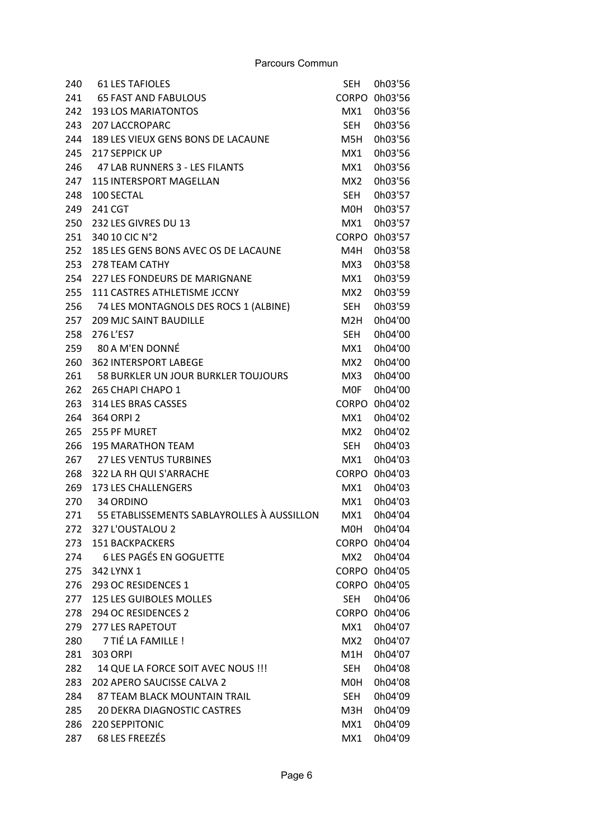| 240 | <b>61 LES TAFIOLES</b>                     | <b>SEH</b>       | 0h03'56       |
|-----|--------------------------------------------|------------------|---------------|
| 241 | <b>65 FAST AND FABULOUS</b>                | <b>CORPO</b>     | 0h03'56       |
| 242 | <b>193 LOS MARIATONTOS</b>                 | MX1              | 0h03'56       |
| 243 | <b>207 LACCROPARC</b>                      | <b>SEH</b>       | 0h03'56       |
| 244 | 189 LES VIEUX GENS BONS DE LACAUNE         | M <sub>5</sub> H | 0h03'56       |
| 245 | 217 SEPPICK UP                             | MX1              | 0h03'56       |
| 246 | 47 LAB RUNNERS 3 - LES FILANTS             | MX1              | 0h03'56       |
| 247 | <b>115 INTERSPORT MAGELLAN</b>             | MX <sub>2</sub>  | 0h03'56       |
| 248 | 100 SECTAL                                 | <b>SEH</b>       | 0h03'57       |
| 249 | 241 CGT                                    | M0H              | 0h03'57       |
| 250 | 232 LES GIVRES DU 13                       | MX1              | 0h03'57       |
| 251 | 340 10 CIC N°2                             | <b>CORPO</b>     | 0h03'57       |
| 252 | 185 LES GENS BONS AVEC OS DE LACAUNE       | M4H              | 0h03'58       |
| 253 | 278 TEAM CATHY                             | MX3              | 0h03'58       |
| 254 | <b>227 LES FONDEURS DE MARIGNANE</b>       | MX1              | 0h03'59       |
| 255 | 111 CASTRES ATHLETISME JCCNY               | MX <sub>2</sub>  | 0h03'59       |
| 256 | 74 LES MONTAGNOLS DES ROCS 1 (ALBINE)      | <b>SEH</b>       | 0h03'59       |
| 257 | <b>209 MJC SAINT BAUDILLE</b>              | M2H              | 0h04'00       |
| 258 | 276 L'ES7                                  | <b>SEH</b>       | 0h04'00       |
| 259 | 80 A M'EN DONNÉ                            | MX1              | 0h04'00       |
| 260 | <b>362 INTERSPORT LABEGE</b>               | MX <sub>2</sub>  | 0h04'00       |
| 261 | 58 BURKLER UN JOUR BURKLER TOUJOURS        | MX3              | 0h04'00       |
| 262 | 265 CHAPI CHAPO 1                          | <b>MOF</b>       | 0h04'00       |
| 263 | 314 LES BRAS CASSES                        | <b>CORPO</b>     | 0h04'02       |
| 264 | 364 ORPI 2                                 | MX1              | 0h04'02       |
| 265 | 255 PF MURET                               | MX2              | 0h04'02       |
| 266 | <b>195 MARATHON TEAM</b>                   | <b>SEH</b>       | 0h04'03       |
| 267 | <b>27 LES VENTUS TURBINES</b>              | MX1              | 0h04'03       |
| 268 | 322 LA RH QUI S'ARRACHE                    | <b>CORPO</b>     | 0h04'03       |
| 269 | 173 LES CHALLENGERS                        | MX1              | 0h04'03       |
| 270 | 34 ORDINO                                  | MX1              | 0h04'03       |
| 271 | 55 ETABLISSEMENTS SABLAYROLLES À AUSSILLON | MX1              | 0h04'04       |
| 272 | 327 L'OUSTALOU 2                           | MOH              | 0h04'04       |
| 273 | <b>151 BACKPACKERS</b>                     | <b>CORPO</b>     | 0h04'04       |
| 274 | <b>6 LES PAGÉS EN GOGUETTE</b>             | MX2              | 0h04'04       |
| 275 | 342 LYNX 1                                 |                  | CORPO 0h04'05 |
| 276 | 293 OC RESIDENCES 1                        |                  | CORPO 0h04'05 |
| 277 | 125 LES GUIBOLES MOLLES                    | <b>SEH</b>       | 0h04'06       |
| 278 | 294 OC RESIDENCES 2                        | <b>CORPO</b>     | 0h04'06       |
| 279 | 277 LES RAPETOUT                           | MX1              | 0h04'07       |
| 280 | 7 TIÉ LA FAMILLE !                         | MX <sub>2</sub>  | 0h04'07       |
| 281 | <b>303 ORPI</b>                            | M1H              | 0h04'07       |
| 282 | 14 QUE LA FORCE SOIT AVEC NOUS !!!         | <b>SEH</b>       | 0h04'08       |
| 283 | <b>202 APERO SAUCISSE CALVA 2</b>          | M0H              | 0h04'08       |
| 284 | 87 TEAM BLACK MOUNTAIN TRAIL               | <b>SEH</b>       | 0h04'09       |
| 285 | 20 DEKRA DIAGNOSTIC CASTRES                | M3H              | 0h04'09       |
| 286 | <b>220 SEPPITONIC</b>                      | MX1              | 0h04'09       |
| 287 | 68 LES FREEZÉS                             | MX1              | 0h04'09       |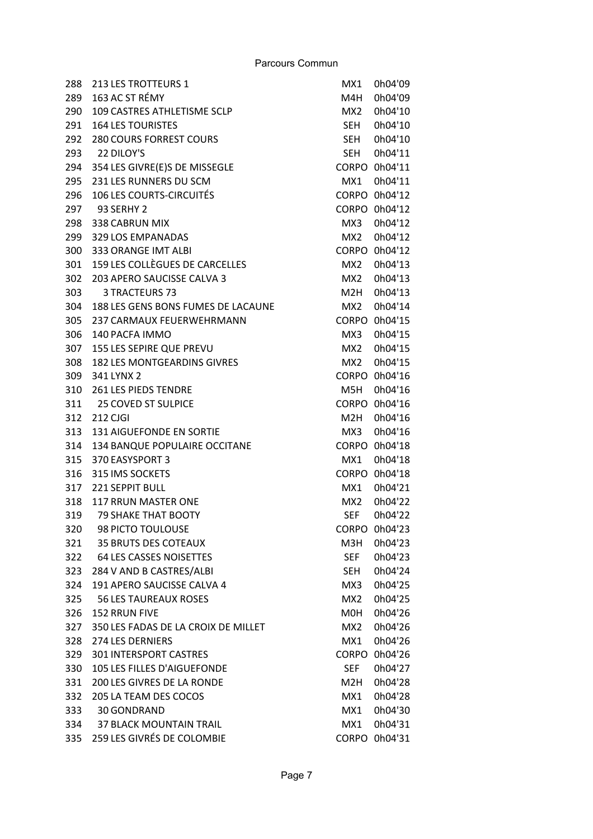| 288 | 213 LES TROTTEURS 1                 | MX1              | 0h04'09       |
|-----|-------------------------------------|------------------|---------------|
| 289 | 163 AC ST RÉMY                      | M4H              | 0h04'09       |
| 290 | 109 CASTRES ATHLETISME SCLP         | MX <sub>2</sub>  | 0h04'10       |
| 291 | <b>164 LES TOURISTES</b>            | <b>SEH</b>       | 0h04'10       |
| 292 | <b>280 COURS FORREST COURS</b>      | <b>SEH</b>       | 0h04'10       |
| 293 | 22 DILOY'S                          | <b>SEH</b>       | 0h04'11       |
| 294 | 354 LES GIVRE(E)S DE MISSEGLE       | <b>CORPO</b>     | 0h04'11       |
| 295 | 231 LES RUNNERS DU SCM              | MX1              | 0h04'11       |
| 296 | <b>106 LES COURTS-CIRCUITÉS</b>     | <b>CORPO</b>     | 0h04'12       |
| 297 | <b>93 SERHY 2</b>                   |                  | CORPO 0h04'12 |
| 298 | 338 CABRUN MIX                      | MX3              | 0h04'12       |
| 299 | 329 LOS EMPANADAS                   | MX <sub>2</sub>  | 0h04'12       |
| 300 | 333 ORANGE IMT ALBI                 | <b>CORPO</b>     | 0h04'12       |
| 301 | 159 LES COLLÈGUES DE CARCELLES      | MX2              | 0h04'13       |
| 302 | 203 APERO SAUCISSE CALVA 3          | MX <sub>2</sub>  | 0h04'13       |
| 303 | 3 TRACTEURS 73                      | M2H              | 0h04'13       |
| 304 | 188 LES GENS BONS FUMES DE LACAUNE  | MX2              | 0h04'14       |
| 305 | 237 CARMAUX FEUERWEHRMANN           | <b>CORPO</b>     | 0h04'15       |
| 306 | 140 PACFA IMMO                      | MX3              | 0h04'15       |
| 307 | 155 LES SEPIRE QUE PREVU            | MX2              | 0h04'15       |
| 308 | 182 LES MONTGEARDINS GIVRES         | MX <sub>2</sub>  | 0h04'15       |
| 309 | 341 LYNX 2                          |                  | CORPO 0h04'16 |
| 310 | <b>261 LES PIEDS TENDRE</b>         | M5H              | 0h04'16       |
| 311 | <b>25 COVED ST SULPICE</b>          | <b>CORPO</b>     | 0h04'16       |
| 312 | 212 CJGI                            | M <sub>2</sub> H | 0h04'16       |
| 313 | <b>131 AIGUEFONDE EN SORTIE</b>     | MX3              | 0h04'16       |
| 314 | 134 BANQUE POPULAIRE OCCITANE       | CORPO            | 0h04'18       |
| 315 | 370 EASYSPORT 3                     | MX1              | 0h04'18       |
| 316 | 315 IMS SOCKETS                     | <b>CORPO</b>     | 0h04'18       |
| 317 | 221 SEPPIT BULL                     | MX1              | 0h04'21       |
| 318 | <b>117 RRUN MASTER ONE</b>          | MX2              | 0h04'22       |
| 319 | <b>79 SHAKE THAT BOOTY</b>          | <b>SEF</b>       | 0h04'22       |
| 320 | 98 PICTO TOULOUSE                   |                  | CORPO 0h04'23 |
| 321 | <b>35 BRUTS DES COTEAUX</b>         | M3H              | 0h04'23       |
| 322 | <b>64 LES CASSES NOISETTES</b>      | <b>SEF</b>       | 0h04'23       |
| 323 | 284 V AND B CASTRES/ALBI            | <b>SEH</b>       | 0h04'24       |
| 324 | 191 APERO SAUCISSE CALVA 4          | MX3              | 0h04'25       |
| 325 | <b>56 LES TAUREAUX ROSES</b>        | MX <sub>2</sub>  | 0h04'25       |
| 326 | 152 RRUN FIVE                       | M0H              | 0h04'26       |
| 327 | 350 LES FADAS DE LA CROIX DE MILLET | MX2              | 0h04'26       |
| 328 | <b>274 LES DERNIERS</b>             | MX1              | 0h04'26       |
| 329 | <b>301 INTERSPORT CASTRES</b>       | <b>CORPO</b>     | 0h04'26       |
| 330 | 105 LES FILLES D'AIGUEFONDE         | <b>SEF</b>       | 0h04'27       |
| 331 | 200 LES GIVRES DE LA RONDE          | M <sub>2</sub> H | 0h04'28       |
| 332 | 205 LA TEAM DES COCOS               | MX1              | 0h04'28       |
| 333 | 30 GONDRAND                         | MX1              | 0h04'30       |
| 334 | <b>37 BLACK MOUNTAIN TRAIL</b>      | MX1              | 0h04'31       |
| 335 | 259 LES GIVRÉS DE COLOMBIE          |                  | CORPO 0h04'31 |
|     |                                     |                  |               |